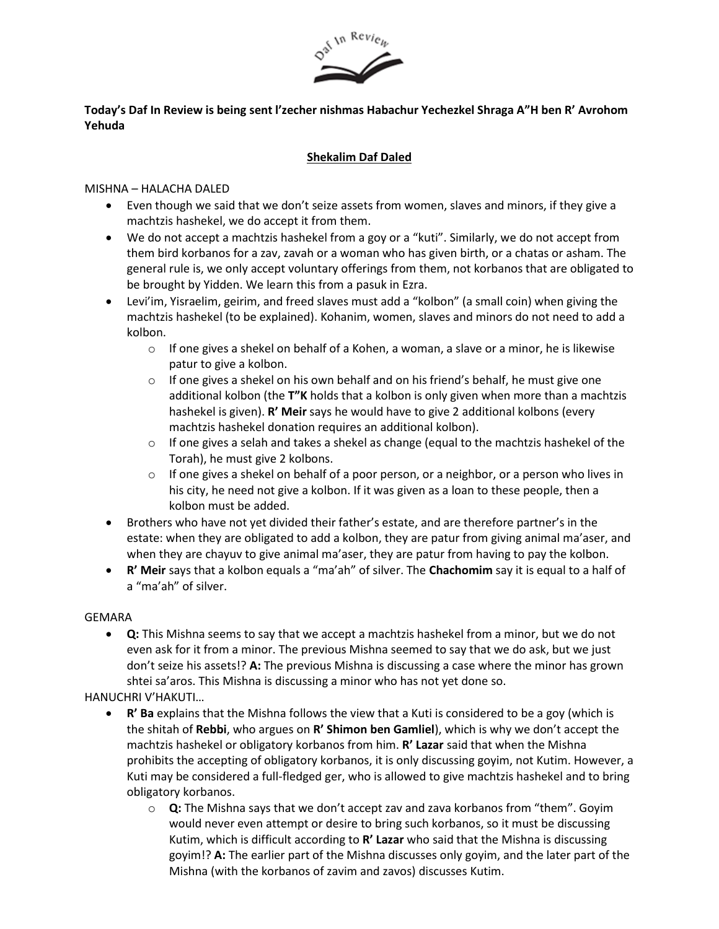

# **Today's Daf In Review is being sent l'zecher nishmas Habachur Yechezkel Shraga A"H ben R' Avrohom Yehuda**

## **Shekalim Daf Daled**

#### MISHNA – HALACHA DALED

- Even though we said that we don't seize assets from women, slaves and minors, if they give a machtzis hashekel, we do accept it from them.
- We do not accept a machtzis hashekel from a goy or a "kuti". Similarly, we do not accept from them bird korbanos for a zav, zavah or a woman who has given birth, or a chatas or asham. The general rule is, we only accept voluntary offerings from them, not korbanos that are obligated to be brought by Yidden. We learn this from a pasuk in Ezra.
- Levi'im, Yisraelim, geirim, and freed slaves must add a "kolbon" (a small coin) when giving the machtzis hashekel (to be explained). Kohanim, women, slaves and minors do not need to add a kolbon.
	- $\circ$  If one gives a shekel on behalf of a Kohen, a woman, a slave or a minor, he is likewise patur to give a kolbon.
	- $\circ$  If one gives a shekel on his own behalf and on his friend's behalf, he must give one additional kolbon (the **T"K** holds that a kolbon is only given when more than a machtzis hashekel is given). **R' Meir** says he would have to give 2 additional kolbons (every machtzis hashekel donation requires an additional kolbon).
	- $\circ$  If one gives a selah and takes a shekel as change (equal to the machtzis hashekel of the Torah), he must give 2 kolbons.
	- $\circ$  If one gives a shekel on behalf of a poor person, or a neighbor, or a person who lives in his city, he need not give a kolbon. If it was given as a loan to these people, then a kolbon must be added.
- Brothers who have not yet divided their father's estate, and are therefore partner's in the estate: when they are obligated to add a kolbon, they are patur from giving animal ma'aser, and when they are chayuv to give animal ma'aser, they are patur from having to pay the kolbon.
- **R' Meir** says that a kolbon equals a "ma'ah" of silver. The **Chachomim** say it is equal to a half of a "ma'ah" of silver.

#### GEMARA

• **Q:** This Mishna seems to say that we accept a machtzis hashekel from a minor, but we do not even ask for it from a minor. The previous Mishna seemed to say that we do ask, but we just don't seize his assets!? **A:** The previous Mishna is discussing a case where the minor has grown shtei sa'aros. This Mishna is discussing a minor who has not yet done so.

HANUCHRI V'HAKUTI…

- **R' Ba** explains that the Mishna follows the view that a Kuti is considered to be a goy (which is the shitah of **Rebbi**, who argues on **R' Shimon ben Gamliel**), which is why we don't accept the machtzis hashekel or obligatory korbanos from him. **R' Lazar** said that when the Mishna prohibits the accepting of obligatory korbanos, it is only discussing goyim, not Kutim. However, a Kuti may be considered a full-fledged ger, who is allowed to give machtzis hashekel and to bring obligatory korbanos.
	- o **Q:** The Mishna says that we don't accept zav and zava korbanos from "them". Goyim would never even attempt or desire to bring such korbanos, so it must be discussing Kutim, which is difficult according to **R' Lazar** who said that the Mishna is discussing goyim!? **A:** The earlier part of the Mishna discusses only goyim, and the later part of the Mishna (with the korbanos of zavim and zavos) discusses Kutim.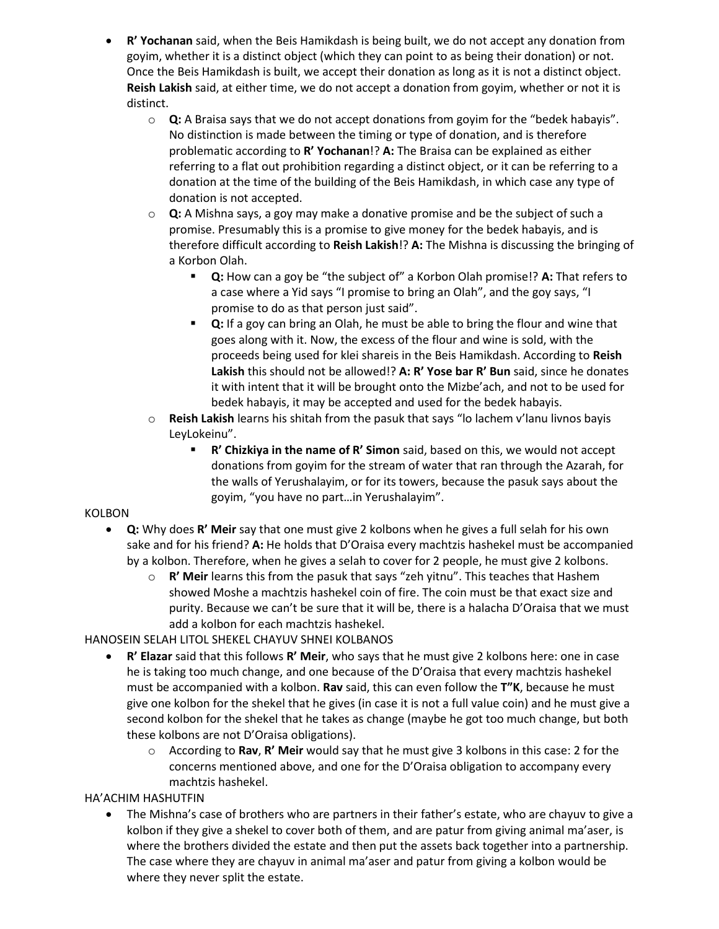- **R' Yochanan** said, when the Beis Hamikdash is being built, we do not accept any donation from goyim, whether it is a distinct object (which they can point to as being their donation) or not. Once the Beis Hamikdash is built, we accept their donation as long as it is not a distinct object. **Reish Lakish** said, at either time, we do not accept a donation from goyim, whether or not it is distinct.
	- o **Q:** A Braisa says that we do not accept donations from goyim for the "bedek habayis". No distinction is made between the timing or type of donation, and is therefore problematic according to **R' Yochanan**!? **A:** The Braisa can be explained as either referring to a flat out prohibition regarding a distinct object, or it can be referring to a donation at the time of the building of the Beis Hamikdash, in which case any type of donation is not accepted.
	- o **Q:** A Mishna says, a goy may make a donative promise and be the subject of such a promise. Presumably this is a promise to give money for the bedek habayis, and is therefore difficult according to **Reish Lakish**!? **A:** The Mishna is discussing the bringing of a Korbon Olah.
		- **Q:** How can a goy be "the subject of" a Korbon Olah promise!? **A:** That refers to a case where a Yid says "I promise to bring an Olah", and the goy says, "I promise to do as that person just said".
		- **Q:** If a goy can bring an Olah, he must be able to bring the flour and wine that goes along with it. Now, the excess of the flour and wine is sold, with the proceeds being used for klei shareis in the Beis Hamikdash. According to **Reish Lakish** this should not be allowed!? **A: R' Yose bar R' Bun** said, since he donates it with intent that it will be brought onto the Mizbe'ach, and not to be used for bedek habayis, it may be accepted and used for the bedek habayis.
	- o **Reish Lakish** learns his shitah from the pasuk that says "lo lachem v'lanu livnos bayis LeyLokeinu".
		- **R' Chizkiya in the name of R' Simon** said, based on this, we would not accept donations from goyim for the stream of water that ran through the Azarah, for the walls of Yerushalayim, or for its towers, because the pasuk says about the goyim, "you have no part…in Yerushalayim".

## KOLBON

- **Q:** Why does **R' Meir** say that one must give 2 kolbons when he gives a full selah for his own sake and for his friend? **A:** He holds that D'Oraisa every machtzis hashekel must be accompanied by a kolbon. Therefore, when he gives a selah to cover for 2 people, he must give 2 kolbons.
	- o **R' Meir** learns this from the pasuk that says "zeh yitnu". This teaches that Hashem showed Moshe a machtzis hashekel coin of fire. The coin must be that exact size and purity. Because we can't be sure that it will be, there is a halacha D'Oraisa that we must add a kolbon for each machtzis hashekel.

## HANOSEIN SELAH LITOL SHEKEL CHAYUV SHNEI KOLBANOS

- **R' Elazar** said that this follows **R' Meir**, who says that he must give 2 kolbons here: one in case he is taking too much change, and one because of the D'Oraisa that every machtzis hashekel must be accompanied with a kolbon. **Rav** said, this can even follow the **T"K**, because he must give one kolbon for the shekel that he gives (in case it is not a full value coin) and he must give a second kolbon for the shekel that he takes as change (maybe he got too much change, but both these kolbons are not D'Oraisa obligations).
	- o According to **Rav**, **R' Meir** would say that he must give 3 kolbons in this case: 2 for the concerns mentioned above, and one for the D'Oraisa obligation to accompany every machtzis hashekel.

## HA'ACHIM HASHUTFIN

• The Mishna's case of brothers who are partners in their father's estate, who are chayuv to give a kolbon if they give a shekel to cover both of them, and are patur from giving animal ma'aser, is where the brothers divided the estate and then put the assets back together into a partnership. The case where they are chayuv in animal ma'aser and patur from giving a kolbon would be where they never split the estate.